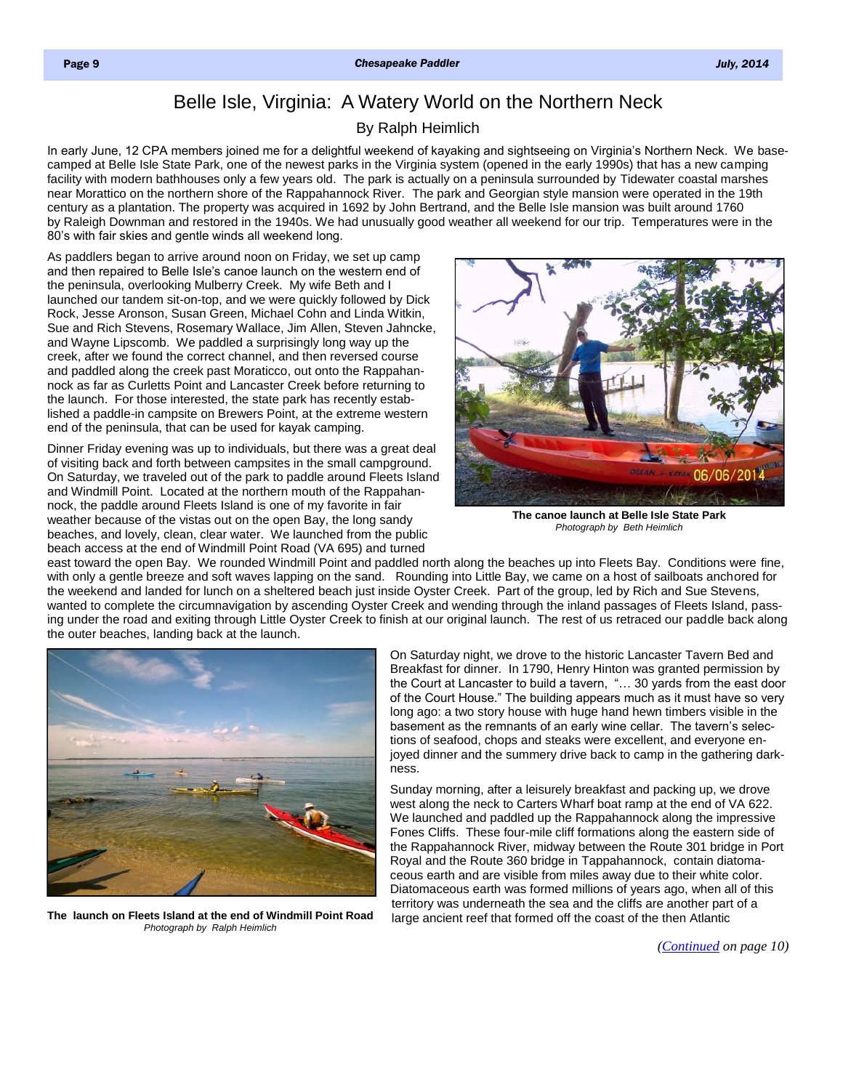## Belle Isle, Virginia: A Watery World on the Northern Neck

## By Ralph Heimlich

<span id="page-0-0"></span>In early June, 12 CPA members joined me for a delightful weekend of kayaking and sightseeing on Virginia's Northern Neck. We basecamped at Belle Isle State Park, one of the newest parks in the Virginia system (opened in the early 1990s) that has a new camping facility with modern bathhouses only a few years old. The park is actually on a peninsula surrounded by Tidewater coastal marshes near Morattico on the northern shore of the Rappahannock River. The park and Georgian style mansion were operated in the 19th century as a plantation. The property was acquired in 1692 by John Bertrand, and the Belle Isle mansion was built around 1760 by Raleigh Downman and restored in the 1940s. We had unusually good weather all weekend for our trip. Temperatures were in the 80's with fair skies and gentle winds all weekend long.

As paddlers began to arrive around noon on Friday, we set up camp and then repaired to Belle Isle's canoe launch on the western end of the peninsula, overlooking Mulberry Creek. My wife Beth and I launched our tandem sit-on-top, and we were quickly followed by Dick Rock, Jesse Aronson, Susan Green, Michael Cohn and Linda Witkin, Sue and Rich Stevens, Rosemary Wallace, Jim Allen, Steven Jahncke, and Wayne Lipscomb. We paddled a surprisingly long way up the creek, after we found the correct channel, and then reversed course and paddled along the creek past Moraticco, out onto the Rappahannock as far as Curletts Point and Lancaster Creek before returning to the launch. For those interested, the state park has recently established a paddle-in campsite on Brewers Point, at the extreme western end of the peninsula, that can be used for kayak camping.

Dinner Friday evening was up to individuals, but there was a great deal of visiting back and forth between campsites in the small campground. On Saturday, we traveled out of the park to paddle around Fleets Island and Windmill Point. Located at the northern mouth of the Rappahannock, the paddle around Fleets Island is one of my favorite in fair weather because of the vistas out on the open Bay, the long sandy beaches, and lovely, clean, clear water. We launched from the public beach access at the end of Windmill Point Road (VA 695) and turned



**The canoe launch at Belle Isle State Park**  *Photograph by Beth Heimlich*

east toward the open Bay. We rounded Windmill Point and paddled north along the beaches up into Fleets Bay. Conditions were fine, with only a gentle breeze and soft waves lapping on the sand. Rounding into Little Bay, we came on a host of sailboats anchored for the weekend and landed for lunch on a sheltered beach just inside Oyster Creek. Part of the group, led by Rich and Sue Stevens, wanted to complete the circumnavigation by ascending Oyster Creek and wending through the inland passages of Fleets Island, passing under the road and exiting through Little Oyster Creek to finish at our original launch. The rest of us retraced our paddle back along the outer beaches, landing back at the launch.



**The launch on Fleets Island at the end of Windmill Point Road**  *Photograph by Ralph Heimlich*

On Saturday night, we drove to the historic Lancaster Tavern Bed and Breakfast for dinner. In 1790, Henry Hinton was granted permission by the Court at Lancaster to build a tavern, "… 30 yards from the east door of the Court House." The building appears much as it must have so very long ago: a two story house with huge hand hewn timbers visible in the basement as the remnants of an early wine cellar. The tavern's selections of seafood, chops and steaks were excellent, and everyone enjoyed dinner and the summery drive back to camp in the gathering darkness.

Sunday morning, after a leisurely breakfast and packing up, we drove west along the neck to Carters Wharf boat ramp at the end of VA 622. We launched and paddled up the Rappahannock along the impressive Fones Cliffs. These four-mile cliff formations along the eastern side of the Rappahannock River, midway between the Route 301 bridge in Port Royal and the Route 360 bridge in Tappahannock, contain diatomaceous earth and are visible from miles away due to their white color. Diatomaceous earth was formed millions of years ago, when all of this territory was underneath the sea and the cliffs are another part of a large ancient reef that formed off the coast of the then Atlantic

*[\(Continued](#page-1-0) on page 10)*